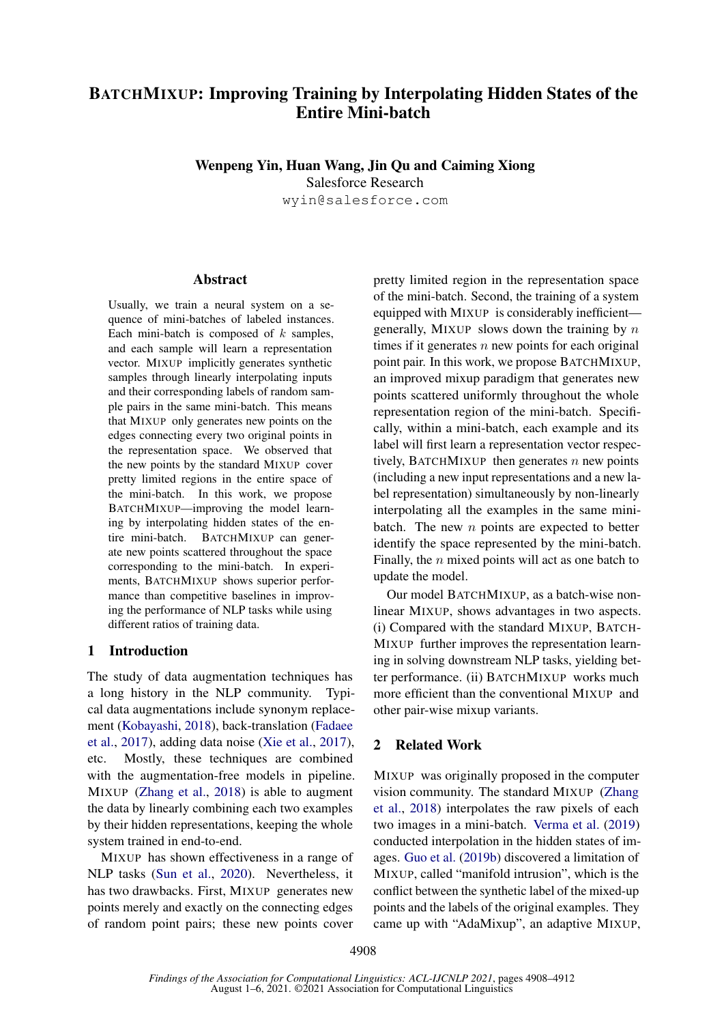# BATCHMIXUP: Improving Training by Interpolating Hidden States of the Entire Mini-batch

## Wenpeng Yin, Huan Wang, Jin Qu and Caiming Xiong

Salesforce Research

wyin@salesforce.com

### Abstract

Usually, we train a neural system on a sequence of mini-batches of labeled instances. Each mini-batch is composed of  $k$  samples, and each sample will learn a representation vector. MIXUP implicitly generates synthetic samples through linearly interpolating inputs and their corresponding labels of random sample pairs in the same mini-batch. This means that MIXUP only generates new points on the edges connecting every two original points in the representation space. We observed that the new points by the standard MIXUP cover pretty limited regions in the entire space of the mini-batch. In this work, we propose BATCHMIXUP—improving the model learning by interpolating hidden states of the entire mini-batch. BATCHMIXUP can generate new points scattered throughout the space corresponding to the mini-batch. In experiments, BATCHMIXUP shows superior performance than competitive baselines in improving the performance of NLP tasks while using different ratios of training data.

## 1 Introduction

The study of data augmentation techniques has a long history in the NLP community. Typical data augmentations include synonym replacement [\(Kobayashi,](#page-4-0) [2018\)](#page-4-0), back-translation [\(Fadaee](#page-4-1) [et al.,](#page-4-1) [2017\)](#page-4-1), adding data noise [\(Xie et al.,](#page-4-2) [2017\)](#page-4-2), etc. Mostly, these techniques are combined with the augmentation-free models in pipeline. MIXUP [\(Zhang et al.,](#page-4-3) [2018\)](#page-4-3) is able to augment the data by linearly combining each two examples by their hidden representations, keeping the whole system trained in end-to-end.

MIXUP has shown effectiveness in a range of NLP tasks [\(Sun et al.,](#page-4-4) [2020\)](#page-4-4). Nevertheless, it has two drawbacks. First, MIXUP generates new points merely and exactly on the connecting edges of random point pairs; these new points cover

pretty limited region in the representation space of the mini-batch. Second, the training of a system equipped with MIXUP is considerably inefficient generally, MIXUP slows down the training by  $n$ times if it generates  $n$  new points for each original point pair. In this work, we propose BATCHMIXUP, an improved mixup paradigm that generates new points scattered uniformly throughout the whole representation region of the mini-batch. Specifically, within a mini-batch, each example and its label will first learn a representation vector respectively, BATCHMIXUP then generates  $n$  new points (including a new input representations and a new label representation) simultaneously by non-linearly interpolating all the examples in the same minibatch. The new  $n$  points are expected to better identify the space represented by the mini-batch. Finally, the  $n$  mixed points will act as one batch to update the model.

Our model BATCHMIXUP, as a batch-wise nonlinear MIXUP, shows advantages in two aspects. (i) Compared with the standard MIXUP, BATCH-MIXUP further improves the representation learning in solving downstream NLP tasks, yielding better performance. (ii) BATCHMIXUP works much more efficient than the conventional MIXUP and other pair-wise mixup variants.

## 2 Related Work

MIXUP was originally proposed in the computer vision community. The standard MIXUP [\(Zhang](#page-4-3) [et al.,](#page-4-3) [2018\)](#page-4-3) interpolates the raw pixels of each two images in a mini-batch. [Verma et al.](#page-4-5) [\(2019\)](#page-4-5) conducted interpolation in the hidden states of images. [Guo et al.](#page-4-6) [\(2019b\)](#page-4-6) discovered a limitation of MIXUP, called "manifold intrusion", which is the conflict between the synthetic label of the mixed-up points and the labels of the original examples. They came up with "AdaMixup", an adaptive MIXUP,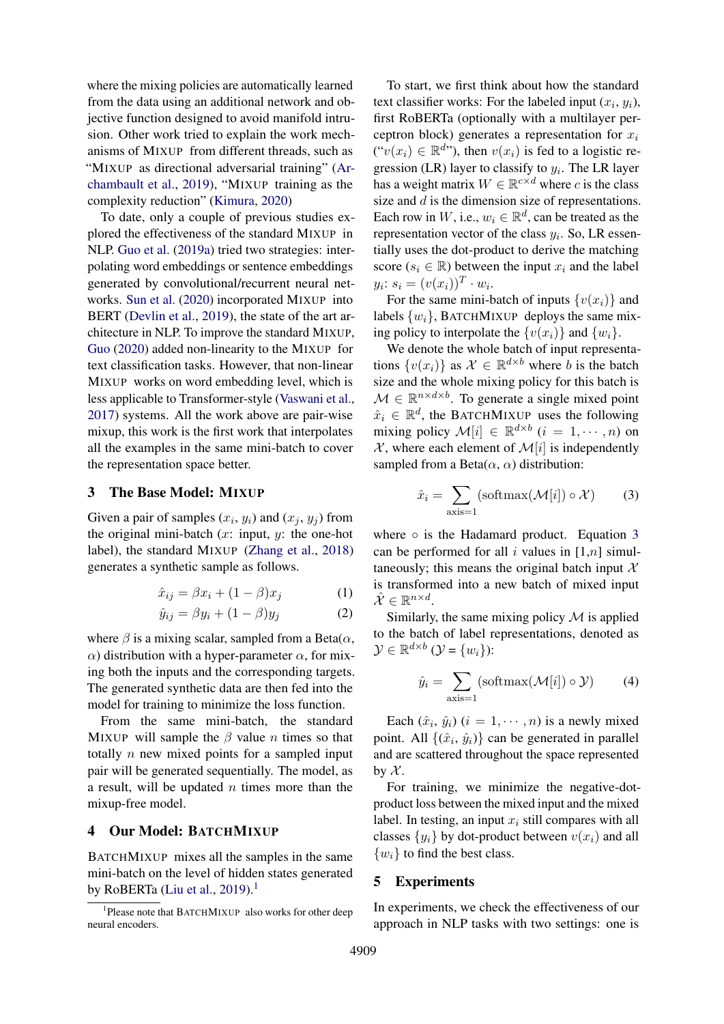where the mixing policies are automatically learned from the data using an additional network and objective function designed to avoid manifold intrusion. Other work tried to explain the work mechanisms of MIXUP from different threads, such as "MIXUP as directional adversarial training" [\(Ar](#page-4-7)[chambault et al.,](#page-4-7) [2019\)](#page-4-7), "MIXUP training as the complexity reduction" [\(Kimura,](#page-4-8) [2020\)](#page-4-8)

To date, only a couple of previous studies explored the effectiveness of the standard MIXUP in NLP. [Guo et al.](#page-4-9) [\(2019a\)](#page-4-9) tried two strategies: interpolating word embeddings or sentence embeddings generated by convolutional/recurrent neural networks. [Sun et al.](#page-4-4) [\(2020\)](#page-4-4) incorporated MIXUP into BERT [\(Devlin et al.,](#page-4-10) [2019\)](#page-4-10), the state of the art architecture in NLP. To improve the standard MIXUP, [Guo](#page-4-11) [\(2020\)](#page-4-11) added non-linearity to the MIXUP for text classification tasks. However, that non-linear MIXUP works on word embedding level, which is less applicable to Transformer-style [\(Vaswani et al.,](#page-4-12) [2017\)](#page-4-12) systems. All the work above are pair-wise mixup, this work is the first work that interpolates all the examples in the same mini-batch to cover the representation space better.

#### 3 The Base Model: MIXUP

Given a pair of samples  $(x_i, y_i)$  and  $(x_j, y_j)$  from the original mini-batch  $(x: input, y:$  the one-hot label), the standard MIXUP [\(Zhang et al.,](#page-4-3) [2018\)](#page-4-3) generates a synthetic sample as follows.

$$
\hat{x}_{ij} = \beta x_i + (1 - \beta)x_j \tag{1}
$$

$$
\hat{y}_{ij} = \beta y_i + (1 - \beta)y_j \tag{2}
$$

where  $\beta$  is a mixing scalar, sampled from a Beta $(\alpha, \beta)$  $\alpha$ ) distribution with a hyper-parameter  $\alpha$ , for mixing both the inputs and the corresponding targets. The generated synthetic data are then fed into the model for training to minimize the loss function.

From the same mini-batch, the standard MIXUP will sample the  $\beta$  value n times so that totally  $n$  new mixed points for a sampled input pair will be generated sequentially. The model, as a result, will be updated  $n$  times more than the mixup-free model.

#### 4 Our Model: BATCHMIXUP

BATCHMIXUP mixes all the samples in the same mini-batch on the level of hidden states generated by RoBERTa [\(Liu et al.,](#page-4-13) [2019\)](#page-4-13).<sup>[1](#page-1-0)</sup>

To start, we first think about how the standard text classifier works: For the labeled input  $(x_i, y_i)$ , first RoBERTa (optionally with a multilayer perceptron block) generates a representation for  $x_i$  $("v(x_i) \in \mathbb{R}^{d})$ , then  $v(x_i)$  is fed to a logistic regression (LR) layer to classify to  $y_i$ . The LR layer has a weight matrix  $W \in \mathbb{R}^{c \times d}$  where c is the class size and  $d$  is the dimension size of representations. Each row in W, i.e.,  $w_i \in \mathbb{R}^d$ , can be treated as the representation vector of the class  $y_i$ . So, LR essentially uses the dot-product to derive the matching score ( $s_i \in \mathbb{R}$ ) between the input  $x_i$  and the label  $y_i: s_i = (v(x_i))^T \cdot w_i.$ 

For the same mini-batch of inputs  $\{v(x_i)\}\$ and labels  $\{w_i\}$ , BATCHMIXUP deploys the same mixing policy to interpolate the  $\{v(x_i)\}\$ and  $\{w_i\}.$ 

We denote the whole batch of input representations  $\{v(x_i)\}\$ as  $\mathcal{X} \in \mathbb{R}^{d \times b}$  where b is the batch size and the whole mixing policy for this batch is  $M \in \mathbb{R}^{n \times d \times b}$ . To generate a single mixed point  $\hat{x}_i \in \mathbb{R}^d$ , the BATCHMIXUP uses the following mixing policy  $\mathcal{M}[i] \in \mathbb{R}^{d \times b}$   $(i = 1, \dots, n)$  on  $X$ , where each element of  $\mathcal{M}[i]$  is independently sampled from a Beta $(\alpha, \alpha)$  distribution:

<span id="page-1-1"></span>
$$
\hat{x}_i = \sum_{\text{axis}=1} (\text{softmax}(\mathcal{M}[i]) \circ \mathcal{X}) \tag{3}
$$

where  $\circ$  is the Hadamard product. Equation [3](#page-1-1) can be performed for all i values in  $[1,n]$  simultaneously; this means the original batch input  $X$ is transformed into a new batch of mixed input  $\hat{\mathcal{X}} \in \mathbb{R}^{n \times d}$ .

Similarly, the same mixing policy  $\mathcal M$  is applied to the batch of label representations, denoted as  $\mathcal{Y} \in \mathbb{R}^{d \times b}$   $(\mathcal{Y} = \{w_i\})$ :

$$
\hat{y}_i = \sum_{\text{axis}=1} (\text{softmax}(\mathcal{M}[i]) \circ \mathcal{Y}) \tag{4}
$$

Each  $(\hat{x}_i, \hat{y}_i)$   $(i = 1, \dots, n)$  is a newly mixed point. All  $\{(\hat{x}_i, \hat{y}_i)\}\)$  can be generated in parallel and are scattered throughout the space represented by  $\mathcal{X}$ .

For training, we minimize the negative-dotproduct loss between the mixed input and the mixed label. In testing, an input  $x_i$  still compares with all classes  $\{y_i\}$  by dot-product between  $v(x_i)$  and all  $\{w_i\}$  to find the best class.

### 5 Experiments

In experiments, we check the effectiveness of our approach in NLP tasks with two settings: one is

<span id="page-1-0"></span><sup>&</sup>lt;sup>1</sup>Please note that BATCHMIXUP also works for other deep neural encoders.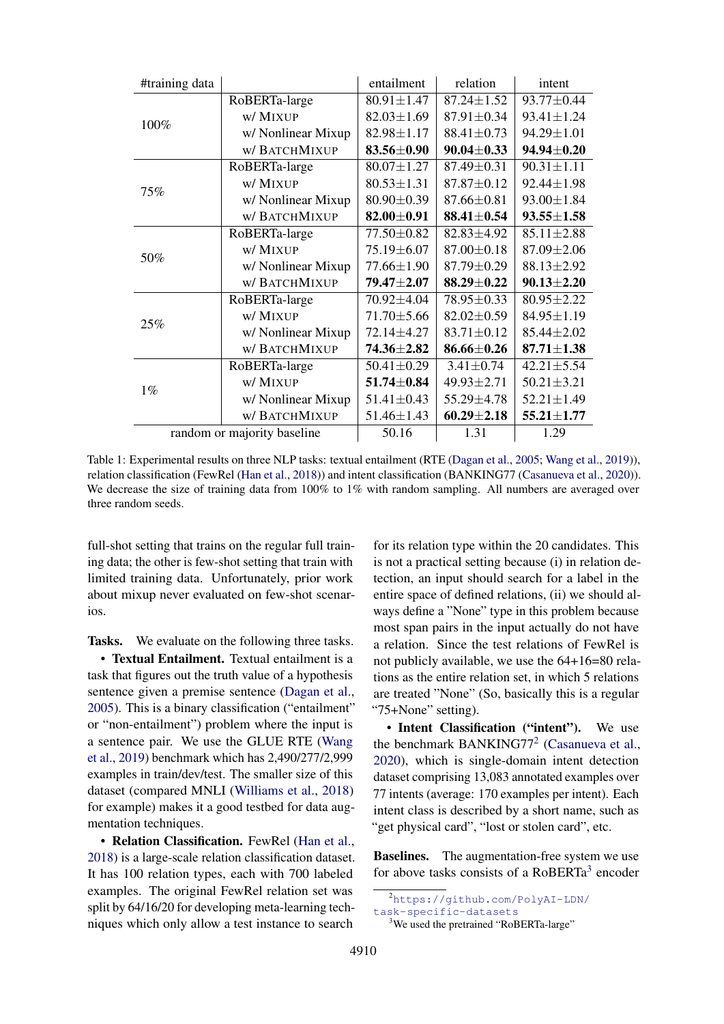<span id="page-2-2"></span>

| #training data              |                     | entailment       | relation         | intent           |
|-----------------------------|---------------------|------------------|------------------|------------------|
| 100%                        | RoBERTa-large       | $80.91 \pm 1.47$ | $87.24 \pm 1.52$ | 93.77±0.44       |
|                             | w/ MIXUP            | $82.03 \pm 1.69$ | $87.91 \pm 0.34$ | $93.41 \pm 1.24$ |
|                             | w/ Nonlinear Mixup  | $82.98 \pm 1.17$ | $88.41 \pm 0.73$ | 94.29±1.01       |
|                             | w/ BATCHMIXUP       | 83.56±0.90       | $90.04 \pm 0.33$ | $94.94 \pm 0.20$ |
| 75%                         | RoBERTa-large       | $80.07 \pm 1.27$ | 87.49±0.31       | $90.31 \pm 1.11$ |
|                             | w/ MIXUP            | $80.53 \pm 1.31$ | $87.87 \pm 0.12$ | 92.44±1.98       |
|                             | w/ Nonlinear Mixup  | 80.90±0.39       | $87.66 \pm 0.81$ | $93.00 \pm 1.84$ |
|                             | w/ BATCHMIXUP       | $82.00 \pm 0.91$ | $88.41 \pm 0.54$ | $93.55 \pm 1.58$ |
| 50%                         | RoBERTa-large       | 77.50±0.82       | 82.83±4.92       | $85.11 \pm 2.88$ |
|                             | w/ MIXUP            | 75.19±6.07       | $87.00 \pm 0.18$ | $87.09 \pm 2.06$ |
|                             | w/ Nonlinear Mixup  | 77.66±1.90       | 87.79±0.29       | $88.13 \pm 2.92$ |
|                             | <b>w/BATCHMIXUP</b> | $79.47 \pm 2.07$ | $88.29 \pm 0.22$ | $90.13 \pm 2.20$ |
| 25%                         | RoBERTa-large       | 70.92±4.04       | 78.95±0.33       | $80.95 \pm 2.22$ |
|                             | w/ MIXUP            | 71.70 ± 5.66     | $82.02 \pm 0.59$ | $84.95 \pm 1.19$ |
|                             | w/ Nonlinear Mixup  | 72.14±4.27       | $83.71 \pm 0.12$ | 85.44±2.02       |
|                             | w/ BATCHMIXUP       | 74.36±2.82       | $86.66 \pm 0.26$ | $87.71 \pm 1.38$ |
| $1\%$                       | RoBERTa-large       | $50.41 \pm 0.29$ | $3.41 \pm 0.74$  | $42.21 \pm 5.54$ |
|                             | w/ MIXUP            | $51.74 \pm 0.84$ | 49.93±2.71       | $50.21 \pm 3.21$ |
|                             | w/ Nonlinear Mixup  | $51.41 \pm 0.43$ | 55.29±4.78       | $52.21 \pm 1.49$ |
|                             | w/ BATCHMIXUP       | $51.46 \pm 1.43$ | $60.29 \pm 2.18$ | $55.21 \pm 1.77$ |
| random or majority baseline |                     | 50.16            | 1.31             | 1.29             |

Table 1: Experimental results on three NLP tasks: textual entailment (RTE [\(Dagan et al.,](#page-4-14) [2005;](#page-4-14) [Wang et al.,](#page-4-15) [2019\)](#page-4-15)), relation classification (FewRel [\(Han et al.,](#page-4-16) [2018\)](#page-4-16)) and intent classification (BANKING77 [\(Casanueva et al.,](#page-4-17) [2020\)](#page-4-17)). We decrease the size of training data from 100% to 1% with random sampling. All numbers are averaged over three random seeds.

full-shot setting that trains on the regular full training data; the other is few-shot setting that train with limited training data. Unfortunately, prior work about mixup never evaluated on few-shot scenarios.

Tasks. We evaluate on the following three tasks.

• Textual Entailment. Textual entailment is a task that figures out the truth value of a hypothesis sentence given a premise sentence [\(Dagan et al.,](#page-4-14) [2005\)](#page-4-14). This is a binary classification ("entailment" or "non-entailment") problem where the input is a sentence pair. We use the GLUE RTE [\(Wang](#page-4-15) [et al.,](#page-4-15) [2019\)](#page-4-15) benchmark which has 2,490/277/2,999 examples in train/dev/test. The smaller size of this dataset (compared MNLI [\(Williams et al.,](#page-4-18) [2018\)](#page-4-18) for example) makes it a good testbed for data augmentation techniques.

• Relation Classification. FewRel [\(Han et al.,](#page-4-16) [2018\)](#page-4-16) is a large-scale relation classification dataset. It has 100 relation types, each with 700 labeled examples. The original FewRel relation set was split by 64/16/20 for developing meta-learning techniques which only allow a test instance to search

for its relation type within the 20 candidates. This is not a practical setting because (i) in relation detection, an input should search for a label in the entire space of defined relations, (ii) we should always define a "None" type in this problem because most span pairs in the input actually do not have a relation. Since the test relations of FewRel is not publicly available, we use the 64+16=80 relations as the entire relation set, in which 5 relations are treated "None" (So, basically this is a regular "75+None" setting).

• Intent Classification ("intent"). We use the benchmark BANKING77<sup>[2](#page-2-0)</sup> [\(Casanueva et al.,](#page-4-17) [2020\)](#page-4-17), which is single-domain intent detection dataset comprising 13,083 annotated examples over 77 intents (average: 170 examples per intent). Each intent class is described by a short name, such as "get physical card", "lost or stolen card", etc.

Baselines. The augmentation-free system we use for above tasks consists of a RoBERTa<sup>[3](#page-2-1)</sup> encoder

<span id="page-2-0"></span><sup>2</sup>[https://github.com/PolyAI-LDN/](https://github.com/PolyAI-LDN/task-specific-datasets)

[task-specific-datasets](https://github.com/PolyAI-LDN/task-specific-datasets)

<span id="page-2-1"></span><sup>&</sup>lt;sup>3</sup>We used the pretrained "RoBERTa-large"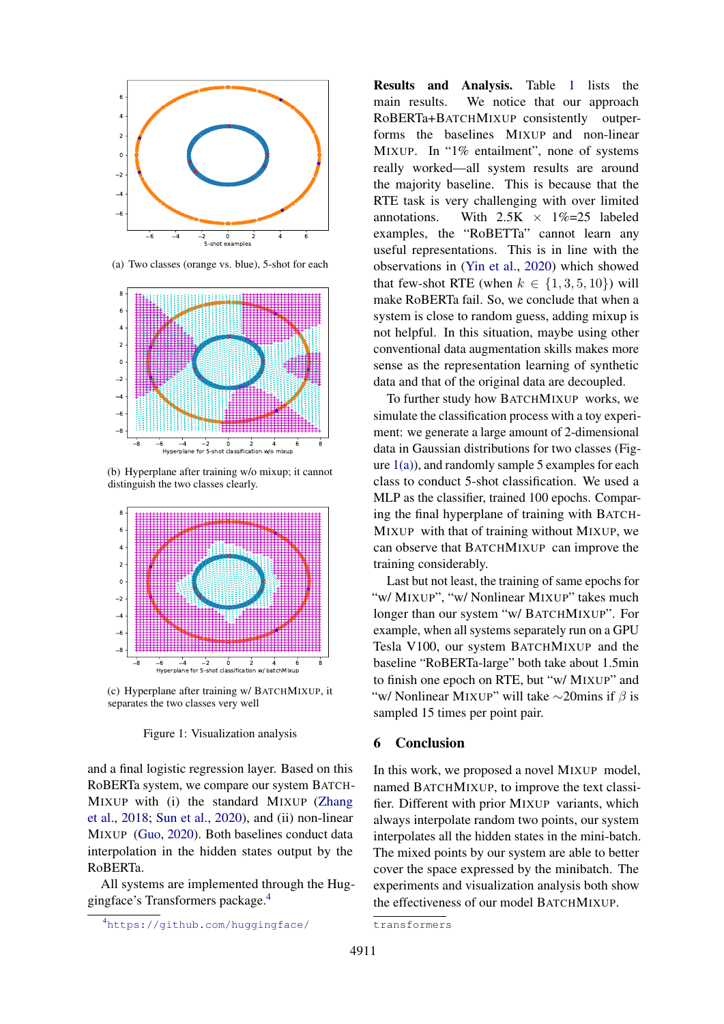<span id="page-3-1"></span>

(a) Two classes (orange vs. blue), 5-shot for each



(b) Hyperplane after training w/o mixup; it cannot distinguish the two classes clearly.



(c) Hyperplane after training w/ BATCHMIXUP, it separates the two classes very well



and a final logistic regression layer. Based on this RoBERTa system, we compare our system BATCH-MIXUP with (i) the standard MIXUP [\(Zhang](#page-4-3) [et al.,](#page-4-3) [2018;](#page-4-3) [Sun et al.,](#page-4-4) [2020\)](#page-4-4), and (ii) non-linear MIXUP [\(Guo,](#page-4-11) [2020\)](#page-4-11). Both baselines conduct data interpolation in the hidden states output by the RoBERTa.

All systems are implemented through the Huggingface's Transformers package.[4](#page-3-0)

[Results and Analysis.](https://github.com/huggingface/transformers) Table [1](#page-2-2) lists the [main results. We notice that our approach](https://github.com/huggingface/transformers) RoBERTa+BATCHMIXUP [consistently outper](https://github.com/huggingface/transformers)[forms the baselines](https://github.com/huggingface/transformers) MIXUP and non-linear MIXUP[. In "1% entailment", none of systems](https://github.com/huggingface/transformers) [really worked—all system results are around](https://github.com/huggingface/transformers) [the majority baseline. This is because that the](https://github.com/huggingface/transformers) [RTE task is very challenging with over limited](https://github.com/huggingface/transformers) annotations. With  $2.5K \times 1\% = 25$  labeled [examples, the "RoBETTa" cannot learn any](https://github.com/huggingface/transformers) [useful representations. This is in line with the](https://github.com/huggingface/transformers) [observations in \(Yin et al.,](https://github.com/huggingface/transformers) [2020\)](#page-4-19) which showed [that few-shot RTE \(when](https://github.com/huggingface/transformers)  $k \in \{1, 3, 5, 10\}$ ) will [make RoBERTa fail. So, we conclude that when a](https://github.com/huggingface/transformers) [system is close to random guess, adding mixup is](https://github.com/huggingface/transformers) [not helpful. In this situation, maybe using other](https://github.com/huggingface/transformers) [conventional data augmentation skills makes more](https://github.com/huggingface/transformers) [sense as the representation learning of synthetic](https://github.com/huggingface/transformers) [data and that of the original data are decoupled.](https://github.com/huggingface/transformers)

[To further study how](https://github.com/huggingface/transformers) BATCHMIXUP works, we [simulate the classification process with a toy experi](https://github.com/huggingface/transformers)[ment: we generate a large amount of 2-dimensional](https://github.com/huggingface/transformers) [data in Gaussian distributions for two classes \(Fig](https://github.com/huggingface/transformers)ure  $1(a)$ ), and randomly sample 5 examples for each [class to conduct 5-shot classification. We used a](https://github.com/huggingface/transformers) [MLP as the classifier, trained 100 epochs. Compar](https://github.com/huggingface/transformers)[ing the final hyperplane of training with](https://github.com/huggingface/transformers) BATCH-MIXUP [with that of training without](https://github.com/huggingface/transformers) MIXUP, we [can observe that](https://github.com/huggingface/transformers) BATCHMIXUP can improve the [training considerably.](https://github.com/huggingface/transformers)

[Last but not least, the training of same epochs for](https://github.com/huggingface/transformers) "w/ MIXUP[", "w/ Nonlinear](https://github.com/huggingface/transformers) MIXUP" takes much [longer than our system "w/](https://github.com/huggingface/transformers) BATCHMIXUP". For [example, when all systems separately run on a GPU](https://github.com/huggingface/transformers) [Tesla V100, our system](https://github.com/huggingface/transformers) BATCHMIXUP and the [baseline "RoBERTa-large" both take about 1.5min](https://github.com/huggingface/transformers) [to finish one epoch on RTE, but "w/](https://github.com/huggingface/transformers) MIXUP" and ["w/ Nonlinear](https://github.com/huggingface/transformers) MIXUP" will take  $\sim$ 20mins if  $\beta$  is [sampled 15 times per point pair.](https://github.com/huggingface/transformers)

### [6 Conclusion](https://github.com/huggingface/transformers)

[In this work, we proposed a novel](https://github.com/huggingface/transformers) MIXUP model, named BATCHMIXUP[, to improve the text classi](https://github.com/huggingface/transformers)[fier. Different with prior](https://github.com/huggingface/transformers) MIXUP variants, which [always interpolate random two points, our system](https://github.com/huggingface/transformers) [interpolates all the hidden states in the mini-batch.](https://github.com/huggingface/transformers) [The mixed points by our system are able to better](https://github.com/huggingface/transformers) [cover the space expressed by the minibatch. The](https://github.com/huggingface/transformers) [experiments and visualization analysis both show](https://github.com/huggingface/transformers) [the effectiveness of our model B](https://github.com/huggingface/transformers)ATCHMIXUP.

<span id="page-3-0"></span><sup>4</sup>[https://github.com/huggingface/](https://github.com/huggingface/transformers)

[transformers](https://github.com/huggingface/transformers)